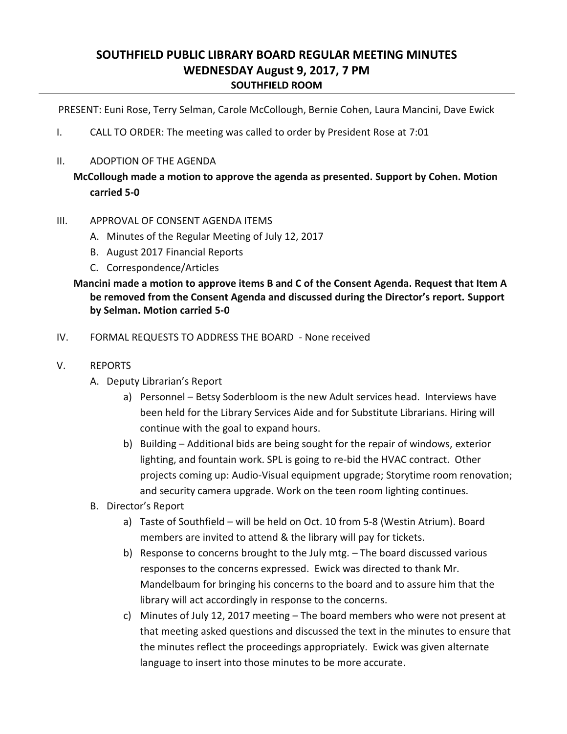# **SOUTHFIELD PUBLIC LIBRARY BOARD REGULAR MEETING MINUTES WEDNESDAY August 9, 2017, 7 PM SOUTHFIELD ROOM**

PRESENT: Euni Rose, Terry Selman, Carole McCollough, Bernie Cohen, Laura Mancini, Dave Ewick

- I. CALL TO ORDER: The meeting was called to order by President Rose at 7:01
- II. ADOPTION OF THE AGENDA

# **McCollough made a motion to approve the agenda as presented. Support by Cohen. Motion carried 5-0**

#### III. APPROVAL OF CONSENT AGENDA ITEMS

- A. Minutes of the Regular Meeting of July 12, 2017
- B. August 2017 Financial Reports
- C. Correspondence/Articles

### **Mancini made a motion to approve items B and C of the Consent Agenda. Request that Item A be removed from the Consent Agenda and discussed during the Director's report. Support by Selman. Motion carried 5-0**

- IV. FORMAL REQUESTS TO ADDRESS THE BOARD None received
- V. REPORTS
	- A. Deputy Librarian's Report
		- a) Personnel Betsy Soderbloom is the new Adult services head. Interviews have been held for the Library Services Aide and for Substitute Librarians. Hiring will continue with the goal to expand hours.
		- b) Building Additional bids are being sought for the repair of windows, exterior lighting, and fountain work. SPL is going to re-bid the HVAC contract. Other projects coming up: Audio-Visual equipment upgrade; Storytime room renovation; and security camera upgrade. Work on the teen room lighting continues.
	- B. Director's Report
		- a) Taste of Southfield will be held on Oct. 10 from 5-8 (Westin Atrium). Board members are invited to attend & the library will pay for tickets.
		- b) Response to concerns brought to the July mtg. The board discussed various responses to the concerns expressed. Ewick was directed to thank Mr. Mandelbaum for bringing his concerns to the board and to assure him that the library will act accordingly in response to the concerns.
		- c) Minutes of July 12, 2017 meeting The board members who were not present at that meeting asked questions and discussed the text in the minutes to ensure that the minutes reflect the proceedings appropriately. Ewick was given alternate language to insert into those minutes to be more accurate.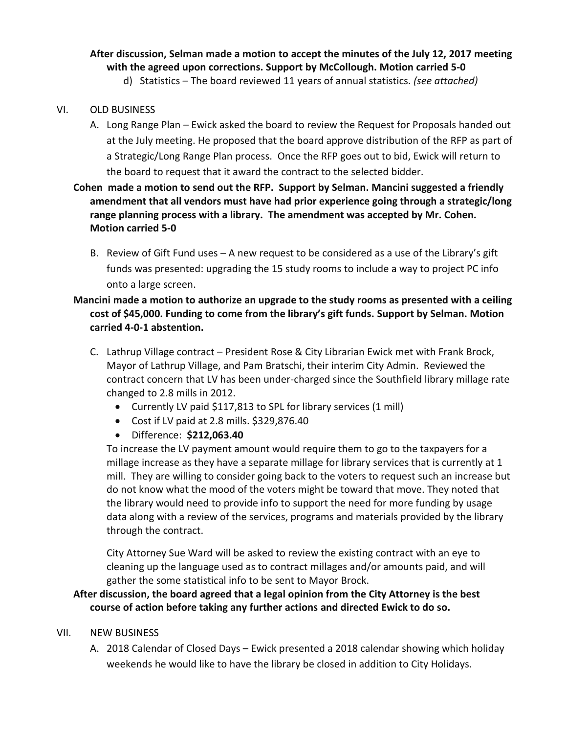# **After discussion, Selman made a motion to accept the minutes of the July 12, 2017 meeting with the agreed upon corrections. Support by McCollough. Motion carried 5-0**

d) Statistics – The board reviewed 11 years of annual statistics. *(see attached)*

### VI. OLD BUSINESS

A. Long Range Plan – Ewick asked the board to review the Request for Proposals handed out at the July meeting. He proposed that the board approve distribution of the RFP as part of a Strategic/Long Range Plan process. Once the RFP goes out to bid, Ewick will return to the board to request that it award the contract to the selected bidder.

# **Cohen made a motion to send out the RFP. Support by Selman. Mancini suggested a friendly amendment that all vendors must have had prior experience going through a strategic/long range planning process with a library. The amendment was accepted by Mr. Cohen. Motion carried 5-0**

B. Review of Gift Fund uses – A new request to be considered as a use of the Library's gift funds was presented: upgrading the 15 study rooms to include a way to project PC info onto a large screen.

### **Mancini made a motion to authorize an upgrade to the study rooms as presented with a ceiling cost of \$45,000. Funding to come from the library's gift funds. Support by Selman. Motion carried 4-0-1 abstention.**

- C. Lathrup Village contract President Rose & City Librarian Ewick met with Frank Brock, Mayor of Lathrup Village, and Pam Bratschi, their interim City Admin. Reviewed the contract concern that LV has been under-charged since the Southfield library millage rate changed to 2.8 mills in 2012.
	- Currently LV paid \$117,813 to SPL for library services (1 mill)
	- Cost if LV paid at 2.8 mills. \$329,876.40
	- Difference: **\$212,063.40**

To increase the LV payment amount would require them to go to the taxpayers for a millage increase as they have a separate millage for library services that is currently at 1 mill. They are willing to consider going back to the voters to request such an increase but do not know what the mood of the voters might be toward that move. They noted that the library would need to provide info to support the need for more funding by usage data along with a review of the services, programs and materials provided by the library through the contract.

City Attorney Sue Ward will be asked to review the existing contract with an eye to cleaning up the language used as to contract millages and/or amounts paid, and will gather the some statistical info to be sent to Mayor Brock.

### **After discussion, the board agreed that a legal opinion from the City Attorney is the best course of action before taking any further actions and directed Ewick to do so.**

### VII. NEW BUSINESS

A. 2018 Calendar of Closed Days – Ewick presented a 2018 calendar showing which holiday weekends he would like to have the library be closed in addition to City Holidays.